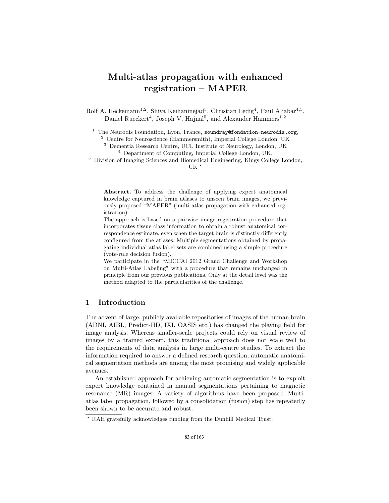# Multi-atlas propagation with enhanced registration – MAPER

Rolf A. Heckemann<sup>1,2</sup>, Shiva Keihaninejad<sup>3</sup>, Christian Ledig<sup>4</sup>, Paul Aljabar<sup>4,5</sup>, Daniel Rueckert<sup>4</sup>, Joseph V. Hajnal<sup>5</sup>, and Alexander Hammers<sup>1,2</sup>

 $1$  The Neurodis Foundation, Lyon, France, soundray@fondation-neurodis.org,

<sup>2</sup> Centre for Neuroscience (Hammersmith), Imperial College London, UK

<sup>3</sup> Dementia Research Centre, UCL Institute of Neurology, London, UK

<sup>4</sup> Department of Computing, Imperial College London, UK,

<sup>5</sup> Division of Imaging Sciences and Biomedical Engineering, Kings College London, UK $*$ 

Abstract. To address the challenge of applying expert anatomical knowledge captured in brain atlases to unseen brain images, we previously proposed "MAPER" (multi-atlas propagation with enhanced registration).

The approach is based on a pairwise image registration procedure that incorporates tissue class information to obtain a robust anatomical correspondence estimate, even when the target brain is distinctly differently configured from the atlases. Multiple segmentations obtained by propagating individual atlas label sets are combined using a simple procedure (vote-rule decision fusion).

We participate in the "MICCAI 2012 Grand Challenge and Workshop on Multi-Atlas Labeling" with a procedure that remains unchanged in principle from our previous publications. Only at the detail level was the method adapted to the particularities of the challenge.

## 1 Introduction

The advent of large, publicly available repositories of images of the human brain (ADNI, AIBL, Predict-HD, IXI, OASIS etc.) has changed the playing field for image analysis. Whereas smaller-scale projects could rely on visual review of images by a trained expert, this traditional approach does not scale well to the requirements of data analysis in large multi-centre studies. To extract the information required to answer a defined research question, automatic anatomical segmentation methods are among the most promising and widely applicable avenues.

An established approach for achieving automatic segmentation is to exploit expert knowledge contained in manual segmentations pertaining to magnetic resonance (MR) images. A variety of algorithms have been proposed. Multiatlas label propagation, followed by a consolidation (fusion) step has repeatedly been shown to be accurate and robust.

<sup>?</sup> RAH gratefully acknowledges funding from the Dunhill Medical Trust.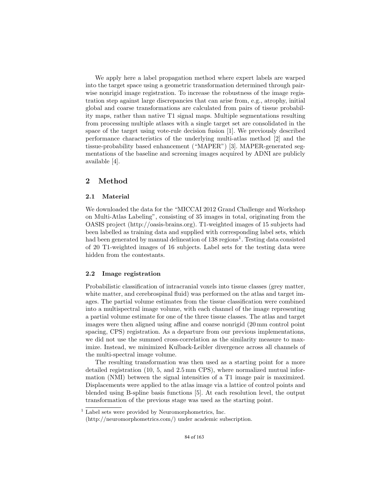We apply here a label propagation method where expert labels are warped into the target space using a geometric transformation determined through pairwise nonrigid image registration. To increase the robustness of the image registration step against large discrepancies that can arise from, e.g., atrophy, initial global and coarse transformations are calculated from pairs of tissue probability maps, rather than native T1 signal maps. Multiple segmentations resulting from processing multiple atlases with a single target set are consolidated in the space of the target using vote-rule decision fusion [1]. We previously described performance characteristics of the underlying multi-atlas method [2] and the tissue-probability based enhancement ("MAPER") [3]. MAPER-generated segmentations of the baseline and screening images acquired by ADNI are publicly available [4].

# 2 Method

### 2.1 Material

We downloaded the data for the "MICCAI 2012 Grand Challenge and Workshop on Multi-Atlas Labeling", consisting of 35 images in total, originating from the OASIS project (http://oasis-brains.org). T1-weighted images of 15 subjects had been labelled as training data and supplied with corresponding label sets, which had been generated by manual delineation of 138 regions<sup>1</sup>. Testing data consisted of 20 T1-weighted images of 16 subjects. Label sets for the testing data were hidden from the contestants.

### 2.2 Image registration

Probabilistic classification of intracranial voxels into tissue classes (grey matter, white matter, and cerebrospinal fluid) was performed on the atlas and target images. The partial volume estimates from the tissue classification were combined into a multispectral image volume, with each channel of the image representing a partial volume estimate for one of the three tissue classes. The atlas and target images were then aligned using affine and coarse nonrigid (20 mm control point spacing, CPS) registration. As a departure from our previous implementations, we did not use the summed cross-correlation as the similarity measure to maximize. Instead, we minimized Kulback-Leibler divergence across all channels of the multi-spectral image volume.

The resulting transformation was then used as a starting point for a more detailed registration (10, 5, and 2.5 mm CPS), where normalized mutual information (NMI) between the signal intensities of a T1 image pair is maximized. Displacements were applied to the atlas image via a lattice of control points and blended using B-spline basis functions [5]. At each resolution level, the output transformation of the previous stage was used as the starting point.

 $1$  Label sets were provided by Neuromorphometrics, Inc. (http://neuromorphometrics.com/) under academic subscription.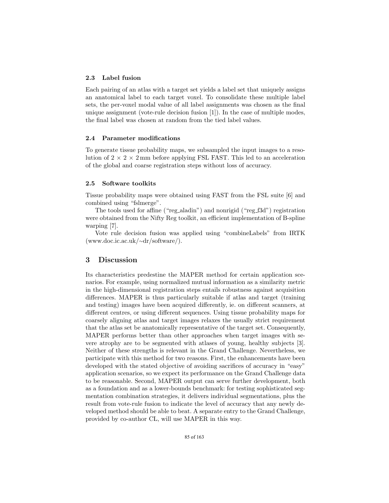#### 2.3 Label fusion

Each pairing of an atlas with a target set yields a label set that uniquely assigns an anatomical label to each target voxel. To consolidate these multiple label sets, the per-voxel modal value of all label assignments was chosen as the final unique assignment (vote-rule decision fusion [1]). In the case of multiple modes, the final label was chosen at random from the tied label values.

### 2.4 Parameter modifications

To generate tissue probability maps, we subsampled the input images to a resolution of  $2 \times 2 \times 2$  mm before applying FSL FAST. This led to an acceleration of the global and coarse registration steps without loss of accuracy.

### 2.5 Software toolkits

Tissue probability maps were obtained using FAST from the FSL suite [6] and combined using "fslmerge".

The tools used for affine ("reg\_aladin") and nonrigid ("reg\_f3d") registration were obtained from the Nifty Reg toolkit, an efficient implementation of B-spline warping [7].

Vote rule decision fusion was applied using "combineLabels" from IRTK (www.doc.ic.ac.uk/∼dr/software/).

# 3 Discussion

Its characteristics predestine the MAPER method for certain application scenarios. For example, using normalized mutual information as a similarity metric in the high-dimensional registration steps entails robustness against acquisition differences. MAPER is thus particularly suitable if atlas and target (training and testing) images have been acquired differently, ie. on different scanners, at different centres, or using different sequences. Using tissue probability maps for coarsely aligning atlas and target images relaxes the usually strict requirement that the atlas set be anatomically representative of the target set. Consequently, MAPER performs better than other approaches when target images with severe atrophy are to be segmented with atlases of young, healthy subjects [3]. Neither of these strengths is relevant in the Grand Challenge. Nevertheless, we participate with this method for two reasons. First, the enhancements have been developed with the stated objective of avoiding sacrifices of accuracy in "easy" application scenarios, so we expect its performance on the Grand Challenge data to be reasonable. Second, MAPER output can serve further development, both as a foundation and as a lower-bounds benchmark: for testing sophisticated segmentation combination strategies, it delivers individual segmentations, plus the result from vote-rule fusion to indicate the level of accuracy that any newly developed method should be able to beat. A separate entry to the Grand Challenge, provided by co-author CL, will use MAPER in this way.